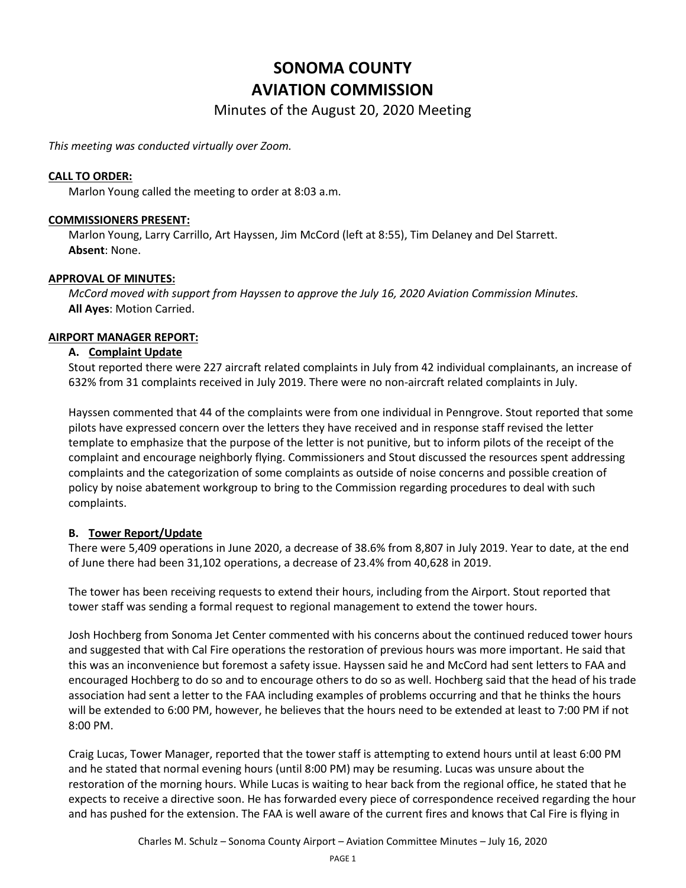# **SONOMA COUNTY AVIATION COMMISSION**

Minutes of the August 20, 2020 Meeting

*This meeting was conducted virtually over Zoom.*

## **CALL TO ORDER:**

Marlon Young called the meeting to order at 8:03 a.m.

#### **COMMISSIONERS PRESENT:**

Marlon Young, Larry Carrillo, Art Hayssen, Jim McCord (left at 8:55), Tim Delaney and Del Starrett. **Absent**: None.

## **APPROVAL OF MINUTES:**

*McCord moved with support from Hayssen to approve the July 16, 2020 Aviation Commission Minutes.*  **All Ayes**: Motion Carried.

## **AIRPORT MANAGER REPORT:**

## **A. Complaint Update**

Stout reported there were 227 aircraft related complaints in July from 42 individual complainants, an increase of 632% from 31 complaints received in July 2019. There were no non-aircraft related complaints in July.

Hayssen commented that 44 of the complaints were from one individual in Penngrove. Stout reported that some pilots have expressed concern over the letters they have received and in response staff revised the letter template to emphasize that the purpose of the letter is not punitive, but to inform pilots of the receipt of the complaint and encourage neighborly flying. Commissioners and Stout discussed the resources spent addressing complaints and the categorization of some complaints as outside of noise concerns and possible creation of policy by noise abatement workgroup to bring to the Commission regarding procedures to deal with such complaints.

## **B. Tower Report/Update**

There were 5,409 operations in June 2020, a decrease of 38.6% from 8,807 in July 2019. Year to date, at the end of June there had been 31,102 operations, a decrease of 23.4% from 40,628 in 2019.

The tower has been receiving requests to extend their hours, including from the Airport. Stout reported that tower staff was sending a formal request to regional management to extend the tower hours.

Josh Hochberg from Sonoma Jet Center commented with his concerns about the continued reduced tower hours and suggested that with Cal Fire operations the restoration of previous hours was more important. He said that this was an inconvenience but foremost a safety issue. Hayssen said he and McCord had sent letters to FAA and encouraged Hochberg to do so and to encourage others to do so as well. Hochberg said that the head of his trade association had sent a letter to the FAA including examples of problems occurring and that he thinks the hours will be extended to 6:00 PM, however, he believes that the hours need to be extended at least to 7:00 PM if not 8:00 PM.

Craig Lucas, Tower Manager, reported that the tower staff is attempting to extend hours until at least 6:00 PM and he stated that normal evening hours (until 8:00 PM) may be resuming. Lucas was unsure about the restoration of the morning hours. While Lucas is waiting to hear back from the regional office, he stated that he expects to receive a directive soon. He has forwarded every piece of correspondence received regarding the hour and has pushed for the extension. The FAA is well aware of the current fires and knows that Cal Fire is flying in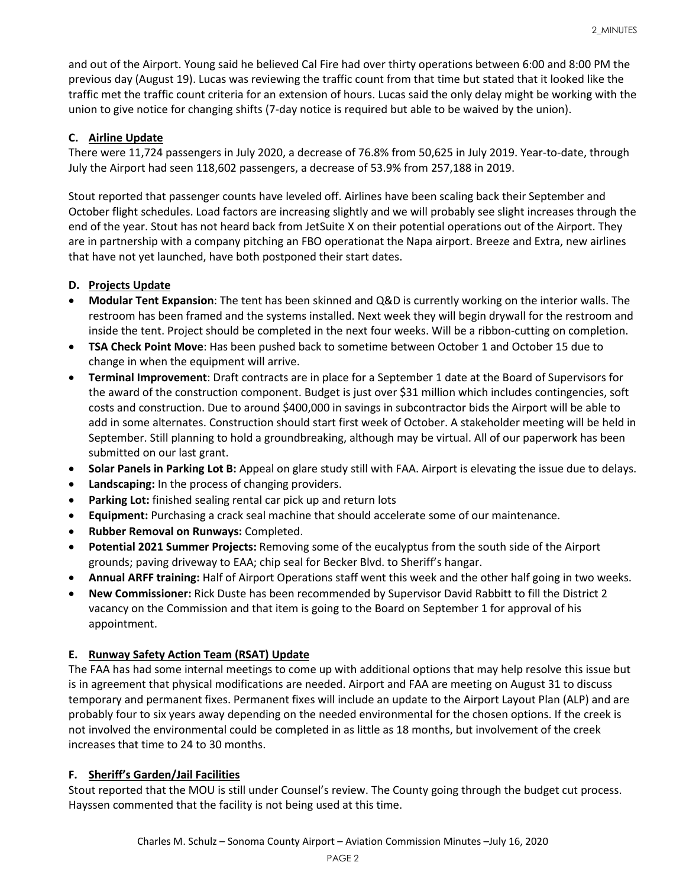and out of the Airport. Young said he believed Cal Fire had over thirty operations between 6:00 and 8:00 PM the previous day (August 19). Lucas was reviewing the traffic count from that time but stated that it looked like the traffic met the traffic count criteria for an extension of hours. Lucas said the only delay might be working with the union to give notice for changing shifts (7-day notice is required but able to be waived by the union).

# **C. Airline Update**

There were 11,724 passengers in July 2020, a decrease of 76.8% from 50,625 in July 2019. Year-to-date, through July the Airport had seen 118,602 passengers, a decrease of 53.9% from 257,188 in 2019.

Stout reported that passenger counts have leveled off. Airlines have been scaling back their September and October flight schedules. Load factors are increasing slightly and we will probably see slight increases through the end of the year. Stout has not heard back from JetSuite X on their potential operations out of the Airport. They are in partnership with a company pitching an FBO operationat the Napa airport. Breeze and Extra, new airlines that have not yet launched, have both postponed their start dates.

# **D. Projects Update**

- **Modular Tent Expansion**: The tent has been skinned and Q&D is currently working on the interior walls. The restroom has been framed and the systems installed. Next week they will begin drywall for the restroom and inside the tent. Project should be completed in the next four weeks. Will be a ribbon-cutting on completion.
- **TSA Check Point Move**: Has been pushed back to sometime between October 1 and October 15 due to change in when the equipment will arrive.
- **Terminal Improvement**: Draft contracts are in place for a September 1 date at the Board of Supervisors for the award of the construction component. Budget is just over \$31 million which includes contingencies, soft costs and construction. Due to around \$400,000 in savings in subcontractor bids the Airport will be able to add in some alternates. Construction should start first week of October. A stakeholder meeting will be held in September. Still planning to hold a groundbreaking, although may be virtual. All of our paperwork has been submitted on our last grant.
- **Solar Panels in Parking Lot B:** Appeal on glare study still with FAA. Airport is elevating the issue due to delays.
- **Landscaping:** In the process of changing providers.
- **Parking Lot:** finished sealing rental car pick up and return lots
- **Equipment:** Purchasing a crack seal machine that should accelerate some of our maintenance.
- **Rubber Removal on Runways:** Completed.
- **Potential 2021 Summer Projects:** Removing some of the eucalyptus from the south side of the Airport grounds; paving driveway to EAA; chip seal for Becker Blvd. to Sheriff's hangar.
- **Annual ARFF training:** Half of Airport Operations staff went this week and the other half going in two weeks.
- **New Commissioner:** Rick Duste has been recommended by Supervisor David Rabbitt to fill the District 2 vacancy on the Commission and that item is going to the Board on September 1 for approval of his appointment.

## **E. Runway Safety Action Team (RSAT) Update**

The FAA has had some internal meetings to come up with additional options that may help resolve this issue but is in agreement that physical modifications are needed. Airport and FAA are meeting on August 31 to discuss temporary and permanent fixes. Permanent fixes will include an update to the Airport Layout Plan (ALP) and are probably four to six years away depending on the needed environmental for the chosen options. If the creek is not involved the environmental could be completed in as little as 18 months, but involvement of the creek increases that time to 24 to 30 months.

## **F. Sheriff's Garden/Jail Facilities**

Stout reported that the MOU is still under Counsel's review. The County going through the budget cut process. Hayssen commented that the facility is not being used at this time.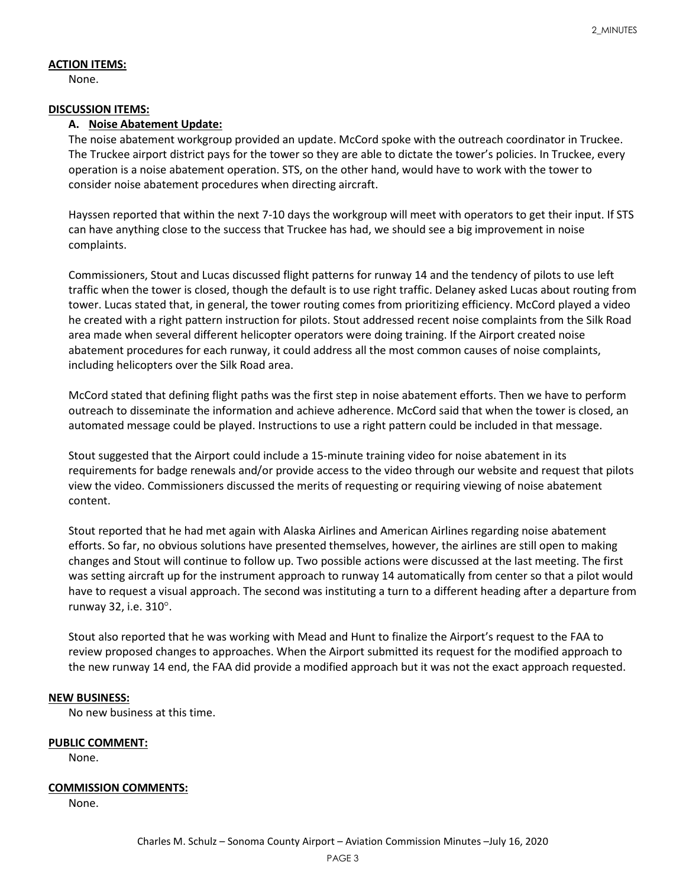## **ACTION ITEMS:**

None.

## **DISCUSSION ITEMS:**

#### **A. Noise Abatement Update:**

The noise abatement workgroup provided an update. McCord spoke with the outreach coordinator in Truckee. The Truckee airport district pays for the tower so they are able to dictate the tower's policies. In Truckee, every operation is a noise abatement operation. STS, on the other hand, would have to work with the tower to consider noise abatement procedures when directing aircraft.

Hayssen reported that within the next 7-10 days the workgroup will meet with operators to get their input. If STS can have anything close to the success that Truckee has had, we should see a big improvement in noise complaints.

Commissioners, Stout and Lucas discussed flight patterns for runway 14 and the tendency of pilots to use left traffic when the tower is closed, though the default is to use right traffic. Delaney asked Lucas about routing from tower. Lucas stated that, in general, the tower routing comes from prioritizing efficiency. McCord played a video he created with a right pattern instruction for pilots. Stout addressed recent noise complaints from the Silk Road area made when several different helicopter operators were doing training. If the Airport created noise abatement procedures for each runway, it could address all the most common causes of noise complaints, including helicopters over the Silk Road area.

McCord stated that defining flight paths was the first step in noise abatement efforts. Then we have to perform outreach to disseminate the information and achieve adherence. McCord said that when the tower is closed, an automated message could be played. Instructions to use a right pattern could be included in that message.

Stout suggested that the Airport could include a 15-minute training video for noise abatement in its requirements for badge renewals and/or provide access to the video through our website and request that pilots view the video. Commissioners discussed the merits of requesting or requiring viewing of noise abatement content.

Stout reported that he had met again with Alaska Airlines and American Airlines regarding noise abatement efforts. So far, no obvious solutions have presented themselves, however, the airlines are still open to making changes and Stout will continue to follow up. Two possible actions were discussed at the last meeting. The first was setting aircraft up for the instrument approach to runway 14 automatically from center so that a pilot would have to request a visual approach. The second was instituting a turn to a different heading after a departure from runway 32, i.e. 310°.

Stout also reported that he was working with Mead and Hunt to finalize the Airport's request to the FAA to review proposed changes to approaches. When the Airport submitted its request for the modified approach to the new runway 14 end, the FAA did provide a modified approach but it was not the exact approach requested.

## **NEW BUSINESS:**

No new business at this time.

#### **PUBLIC COMMENT:**

None.

#### **COMMISSION COMMENTS:**

None.